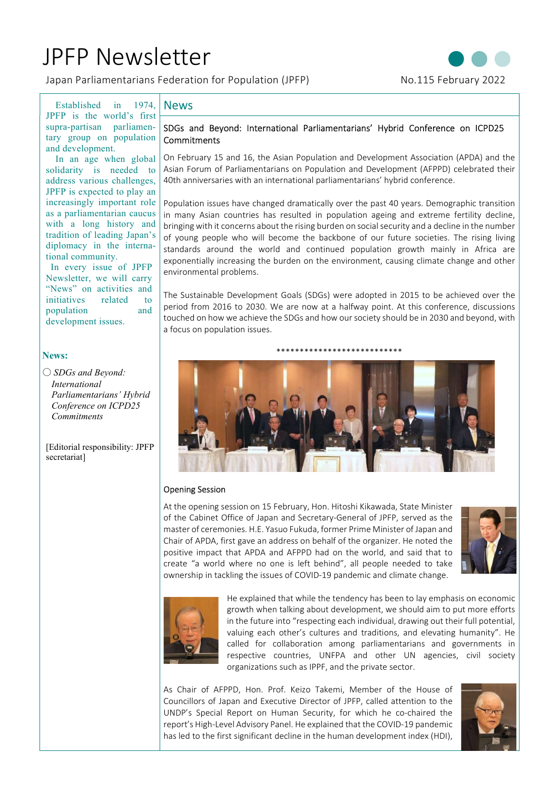JPFP Newsletter

Japan Parliamentarians Federation for Population (JPFP) No.115 February 2022



Established in 1974, JPFP is the world's first supra-partisan parliamentary group on population and development.

In an age when global solidarity is needed to address various challenges, JPFP is expected to play an increasingly important role as a parliamentarian caucus with a long history and tradition of leading Japan's diplomacy in the international community.

In every issue of JPFP Newsletter, we will carry "News" on activities and initiatives related to population and development issues.

# News:

〇 SDGs and Beyond: International Parliamentarians' Hybrid Conference on ICPD25 **Commitments** 

[Editorial responsibility: JPFP secretariat]

# News

### SDGs and Beyond: International Parliamentarians' Hybrid Conference on ICPD25 Commitments

On February 15 and 16, the Asian Population and Development Association (APDA) and the Asian Forum of Parliamentarians on Population and Development (AFPPD) celebrated their 40th anniversaries with an international parliamentarians' hybrid conference.

Population issues have changed dramatically over the past 40 years. Demographic transition in many Asian countries has resulted in population ageing and extreme fertility decline, bringing with it concerns about the rising burden on social security and a decline in the number of young people who will become the backbone of our future societies. The rising living standards around the world and continued population growth mainly in Africa are exponentially increasing the burden on the environment, causing climate change and other environmental problems.

The Sustainable Development Goals (SDGs) were adopted in 2015 to be achieved over the period from 2016 to 2030. We are now at a halfway point. At this conference, discussions touched on how we achieve the SDGs and how our society should be in 2030 and beyond, with a focus on population issues.



## Opening Session

At the opening session on 15 February, Hon. Hitoshi Kikawada, State Minister of the Cabinet Office of Japan and Secretary-General of JPFP, served as the master of ceremonies. H.E. Yasuo Fukuda, former Prime Minister of Japan and Chair of APDA, first gave an address on behalf of the organizer. He noted the positive impact that APDA and AFPPD had on the world, and said that to create "a world where no one is left behind", all people needed to take ownership in tackling the issues of COVID-19 pandemic and climate change.





He explained that while the tendency has been to lay emphasis on economic growth when talking about development, we should aim to put more efforts in the future into "respecting each individual, drawing out their full potential, valuing each other's cultures and traditions, and elevating humanity". He called for collaboration among parliamentarians and governments in respective countries, UNFPA and other UN agencies, civil society organizations such as IPPF, and the private sector.

As Chair of AFPPD, Hon. Prof. Keizo Takemi, Member of the House of Councillors of Japan and Executive Director of JPFP, called attention to the UNDP's Special Report on Human Security, for which he co-chaired the report's High-Level Advisory Panel. He explained that the COVID-19 pandemic has led to the first significant decline in the human development index (HDI),

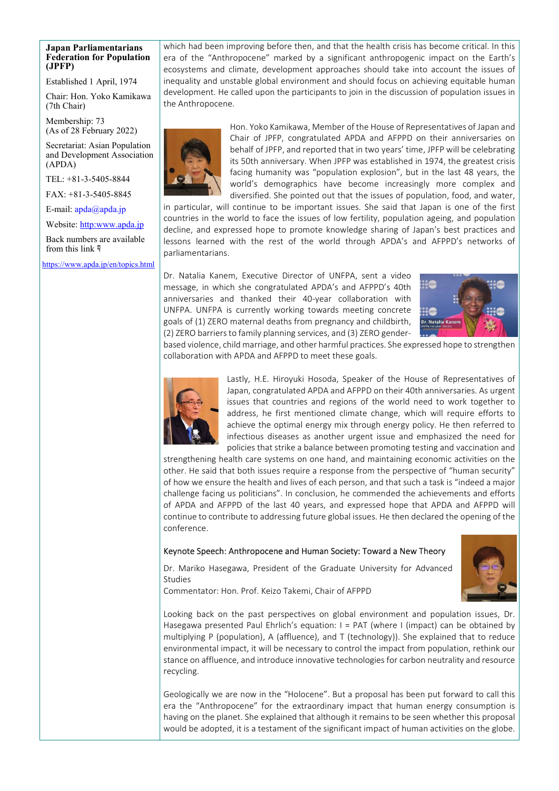#### Japan Parliamentarians Federation for Population (JPFP)

Established 1 April, 1974

Chair: Hon. Yoko Kamikawa (7th Chair)

Membership: 73 (As of 28 February 2022)

Secretariat: Asian Population and Development Association (APDA)

TEL: +81-3-5405-8844

FAX: +81-3-5405-8845

E-mail:  $a p da @ a p da$ .jp

Website: http:www.apda.jp

Back numbers are available from this link  $\frac{5}{3}$ 

https://www.apda.jp/en/topics.html

which had been improving before then, and that the health crisis has become critical. In this era of the "Anthropocene" marked by a significant anthropogenic impact on the Earth's ecosystems and climate, development approaches should take into account the issues of inequality and unstable global environment and should focus on achieving equitable human development. He called upon the participants to join in the discussion of population issues in the Anthropocene.



Hon. Yoko Kamikawa, Member of the House of Representatives of Japan and Chair of JPFP, congratulated APDA and AFPPD on their anniversaries on behalf of JPFP, and reported that in two years' time, JPFP will be celebrating its 50th anniversary. When JPFP was established in 1974, the greatest crisis facing humanity was "population explosion", but in the last 48 years, the world's demographics have become increasingly more complex and diversified. She pointed out that the issues of population, food, and water,

in particular, will continue to be important issues. She said that Japan is one of the first countries in the world to face the issues of low fertility, population ageing, and population decline, and expressed hope to promote knowledge sharing of Japan's best practices and lessons learned with the rest of the world through APDA's and AFPPD's networks of parliamentarians.

Dr. Natalia Kanem, Executive Director of UNFPA, sent a video message, in which she congratulated APDA's and AFPPD's 40th anniversaries and thanked their 40-year collaboration with UNFPA. UNFPA is currently working towards meeting concrete goals of (1) ZERO maternal deaths from pregnancy and childbirth, (2) ZERO barriers to family planning services, and (3) ZERO gender-



based violence, child marriage, and other harmful practices. She expressed hope to strengthen collaboration with APDA and AFPPD to meet these goals.



Lastly, H.E. Hiroyuki Hosoda, Speaker of the House of Representatives of Japan, congratulated APDA and AFPPD on their 40th anniversaries. As urgent issues that countries and regions of the world need to work together to address, he first mentioned climate change, which will require efforts to achieve the optimal energy mix through energy policy. He then referred to infectious diseases as another urgent issue and emphasized the need for policies that strike a balance between promoting testing and vaccination and

strengthening health care systems on one hand, and maintaining economic activities on the other. He said that both issues require a response from the perspective of "human security" of how we ensure the health and lives of each person, and that such a task is "indeed a major challenge facing us politicians". In conclusion, he commended the achievements and efforts of APDA and AFPPD of the last 40 years, and expressed hope that APDA and AFPPD will continue to contribute to addressing future global issues. He then declared the opening of the conference.

#### Keynote Speech: Anthropocene and Human Society: Toward a New Theory

Dr. Mariko Hasegawa, President of the Graduate University for Advanced Studies

Commentator: Hon. Prof. Keizo Takemi, Chair of AFPPD

Looking back on the past perspectives on global environment and population issues, Dr. Hasegawa presented Paul Ehrlich's equation: I = PAT (where I (impact) can be obtained by multiplying P (population), A (affluence), and T (technology)). She explained that to reduce environmental impact, it will be necessary to control the impact from population, rethink our stance on affluence, and introduce innovative technologies for carbon neutrality and resource recycling.

Geologically we are now in the "Holocene". But a proposal has been put forward to call this era the "Anthropocene" for the extraordinary impact that human energy consumption is having on the planet. She explained that although it remains to be seen whether this proposal would be adopted, it is a testament of the significant impact of human activities on the globe.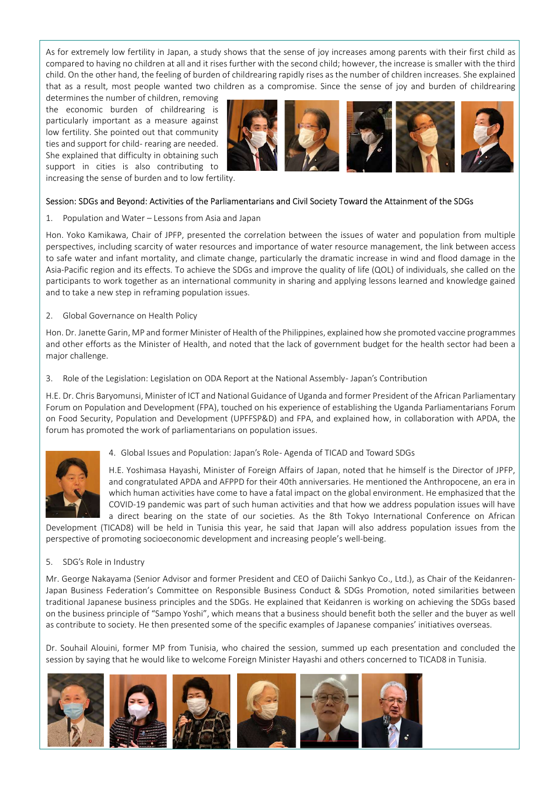As for extremely low fertility in Japan, a study shows that the sense of joy increases among parents with their first child as compared to having no children at all and it rises further with the second child; however, the increase is smaller with the third child. On the other hand, the feeling of burden of childrearing rapidly rises as the number of children increases. She explained that as a result, most people wanted two children as a compromise. Since the sense of joy and burden of childrearing

determines the number of children, removing the economic burden of childrearing is particularly important as a measure against low fertility. She pointed out that community ties and support for child- rearing are needed. She explained that difficulty in obtaining such support in cities is also contributing to



increasing the sense of burden and to low fertility.

### Session: SDGs and Beyond: Activities of the Parliamentarians and Civil Society Toward the Attainment of the SDGs

1. Population and Water – Lessons from Asia and Japan

Hon. Yoko Kamikawa, Chair of JPFP, presented the correlation between the issues of water and population from multiple perspectives, including scarcity of water resources and importance of water resource management, the link between access to safe water and infant mortality, and climate change, particularly the dramatic increase in wind and flood damage in the Asia-Pacific region and its effects. To achieve the SDGs and improve the quality of life (QOL) of individuals, she called on the participants to work together as an international community in sharing and applying lessons learned and knowledge gained and to take a new step in reframing population issues.

2. Global Governance on Health Policy

Hon. Dr. Janette Garin, MP and former Minister of Health of the Philippines, explained how she promoted vaccine programmes and other efforts as the Minister of Health, and noted that the lack of government budget for the health sector had been a major challenge.

3. Role of the Legislation: Legislation on ODA Report at the National Assembly-Japan's Contribution

H.E. Dr. Chris Baryomunsi, Minister of ICT and National Guidance of Uganda and former President of the African Parliamentary Forum on Population and Development (FPA), touched on his experience of establishing the Uganda Parliamentarians Forum on Food Security, Population and Development (UPFFSP&D) and FPA, and explained how, in collaboration with APDA, the forum has promoted the work of parliamentarians on population issues.



4. Global Issues and Population: Japan's Role - Agenda of TICAD and Toward SDGs

H.E. Yoshimasa Hayashi, Minister of Foreign Affairs of Japan, noted that he himself is the Director of JPFP, and congratulated APDA and AFPPD for their 40th anniversaries. He mentioned the Anthropocene, an era in which human activities have come to have a fatal impact on the global environment. He emphasized that the COVID-19 pandemic was part of such human activities and that how we address population issues will have a direct bearing on the state of our societies. As the 8th Tokyo International Conference on African

Development (TICAD8) will be held in Tunisia this year, he said that Japan will also address population issues from the perspective of promoting socioeconomic development and increasing people's well-being.

## 5. SDG's Role in Industry

Mr. George Nakayama (Senior Advisor and former President and CEO of Daiichi Sankyo Co., Ltd.), as Chair of the Keidanren-Japan Business Federation's Committee on Responsible Business Conduct & SDGs Promotion, noted similarities between traditional Japanese business principles and the SDGs. He explained that Keidanren is working on achieving the SDGs based on the business principle of "Sampo Yoshi", which means that a business should benefit both the seller and the buyer as well as contribute to society. He then presented some of the specific examples of Japanese companies' initiatives overseas.

Dr. Souhail Alouini, former MP from Tunisia, who chaired the session, summed up each presentation and concluded the session by saying that he would like to welcome Foreign Minister Hayashi and others concerned to TICAD8 in Tunisia.